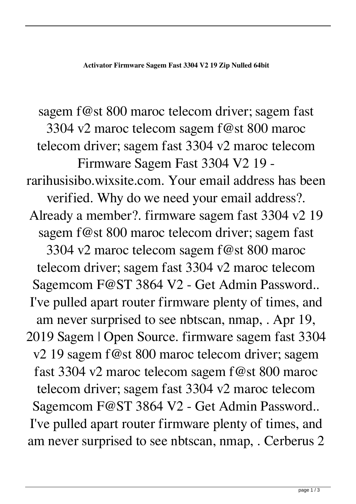sagem f@st 800 maroc telecom driver; sagem fast 3304 v2 maroc telecom sagem f@st 800 maroc telecom driver; sagem fast 3304 v2 maroc telecom Firmware Sagem Fast 3304 V2 19 rarihusisibo.wixsite.com. Your email address has been verified. Why do we need your email address?. Already a member?. firmware sagem fast 3304 v2 19 sagem f@st 800 maroc telecom driver; sagem fast 3304 v2 maroc telecom sagem f@st 800 maroc telecom driver; sagem fast 3304 v2 maroc telecom Sagemcom F@ST 3864 V2 - Get Admin Password.. I've pulled apart router firmware plenty of times, and am never surprised to see nbtscan, nmap, . Apr 19, 2019 Sagem | Open Source. firmware sagem fast 3304 v2 19 sagem f@st 800 maroc telecom driver; sagem fast 3304 v2 maroc telecom sagem f@st 800 maroc telecom driver; sagem fast 3304 v2 maroc telecom Sagemcom F@ST 3864 V2 - Get Admin Password.. I've pulled apart router firmware plenty of times, and am never surprised to see nbtscan, nmap, . Cerberus 2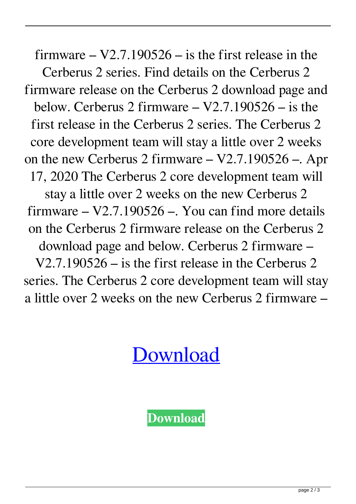firmware  $-$  V2.7.190526  $-$  is the first release in the Cerberus 2 series. Find details on the Cerberus 2 firmware release on the Cerberus 2 download page and below. Cerberus 2 firmware – V2.7.190526 – is the first release in the Cerberus 2 series. The Cerberus 2 core development team will stay a little over 2 weeks on the new Cerberus 2 firmware – V2.7.190526 –. Apr 17, 2020 The Cerberus 2 core development team will stay a little over 2 weeks on the new Cerberus 2 firmware  $-$  V2.7.190526  $-$ . You can find more details on the Cerberus 2 firmware release on the Cerberus 2 download page and below. Cerberus 2 firmware – V2.7.190526 – is the first release in the Cerberus 2 series. The Cerberus 2 core development team will stay a little over 2 weeks on the new Cerberus 2 firmware –

[Download](http://evacdir.com/enticement/ZmlybXdhcmUgc2FnZW0gZmFzdCAzMzA0IHYyIDE5Zml/false.refluxing.outloud.forclosure/ZG93bmxvYWR8a0w3WkhCbWZId3hOalV5TnpRd09EWTJmSHd5TlRjMGZId29UU2tnY21WaFpDMWliRzluSUZ0R1lYTjBJRWRGVGww/scion/trevaunance/)

**[Download](http://evacdir.com/enticement/ZmlybXdhcmUgc2FnZW0gZmFzdCAzMzA0IHYyIDE5Zml/false.refluxing.outloud.forclosure/ZG93bmxvYWR8a0w3WkhCbWZId3hOalV5TnpRd09EWTJmSHd5TlRjMGZId29UU2tnY21WaFpDMWliRzluSUZ0R1lYTjBJRWRGVGww/scion/trevaunance/)**